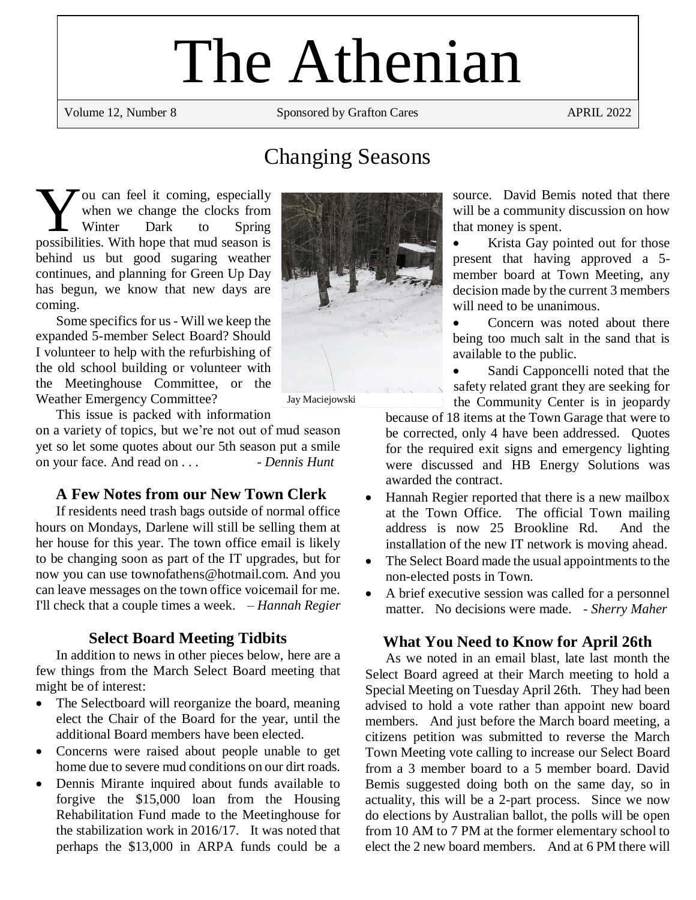# The Athenian

Volume 12, Number 8 Sponsored by Grafton Cares APRIL 2022

# Changing Seasons

ou can feel it coming, especially when we change the clocks from Winter Dark to Spring Vou can feel it coming, especially<br>when we change the clocks from<br>Winter Dark to Spring<br>possibilities. With hope that mud season is behind us but good sugaring weather continues, and planning for Green Up Day has begun, we know that new days are coming.

Some specifics for us - Will we keep the expanded 5-member Select Board? Should I volunteer to help with the refurbishing of the old school building or volunteer with the Meetinghouse Committee, or the Weather Emergency Committee?

This issue is packed with information

on a variety of topics, but we're not out of mud season yet so let some quotes about our 5th season put a smile on your face. And read on . . . *- Dennis Hunt*

# **A Few Notes from our New Town Clerk**

If residents need trash bags outside of normal office hours on Mondays, Darlene will still be selling them at her house for this year. The town office email is likely to be changing soon as part of the IT upgrades, but for now you can use townofathens@hotmail.com. And you can leave messages on the town office voicemail for me. I'll check that a couple times a week. – *Hannah Regier*

# **Select Board Meeting Tidbits**

In addition to news in other pieces below, here are a few things from the March Select Board meeting that might be of interest:

- The Selectboard will reorganize the board, meaning elect the Chair of the Board for the year, until the additional Board members have been elected.
- Concerns were raised about people unable to get home due to severe mud conditions on our dirt roads.
- Dennis Mirante inquired about funds available to forgive the \$15,000 loan from the Housing Rehabilitation Fund made to the Meetinghouse for the stabilization work in 2016/17. It was noted that perhaps the \$13,000 in ARPA funds could be a



source. David Bemis noted that there will be a community discussion on how that money is spent.

Krista Gay pointed out for those present that having approved a 5 member board at Town Meeting, any decision made by the current 3 members will need to be unanimous.

Concern was noted about there being too much salt in the sand that is available to the public.

Sandi Capponcelli noted that the safety related grant they are seeking for the Community Center is in jeopardy

because of 18 items at the Town Garage that were to be corrected, only 4 have been addressed. Quotes for the required exit signs and emergency lighting were discussed and HB Energy Solutions was awarded the contract.

- Hannah Regier reported that there is a new mailbox at the Town Office. The official Town mailing address is now 25 Brookline Rd. And the installation of the new IT network is moving ahead.
- The Select Board made the usual appointments to the non-elected posts in Town.
- A brief executive session was called for a personnel matter. No decisions were made. - *Sherry Maher*

# **What You Need to Know for April 26th**

As we noted in an email blast, late last month the Select Board agreed at their March meeting to hold a Special Meeting on Tuesday April 26th. They had been advised to hold a vote rather than appoint new board members. And just before the March board meeting, a citizens petition was submitted to reverse the March Town Meeting vote calling to increase our Select Board from a 3 member board to a 5 member board. David Bemis suggested doing both on the same day, so in actuality, this will be a 2-part process. Since we now do elections by Australian ballot, the polls will be open from 10 AM to 7 PM at the former elementary school to elect the 2 new board members. And at 6 PM there will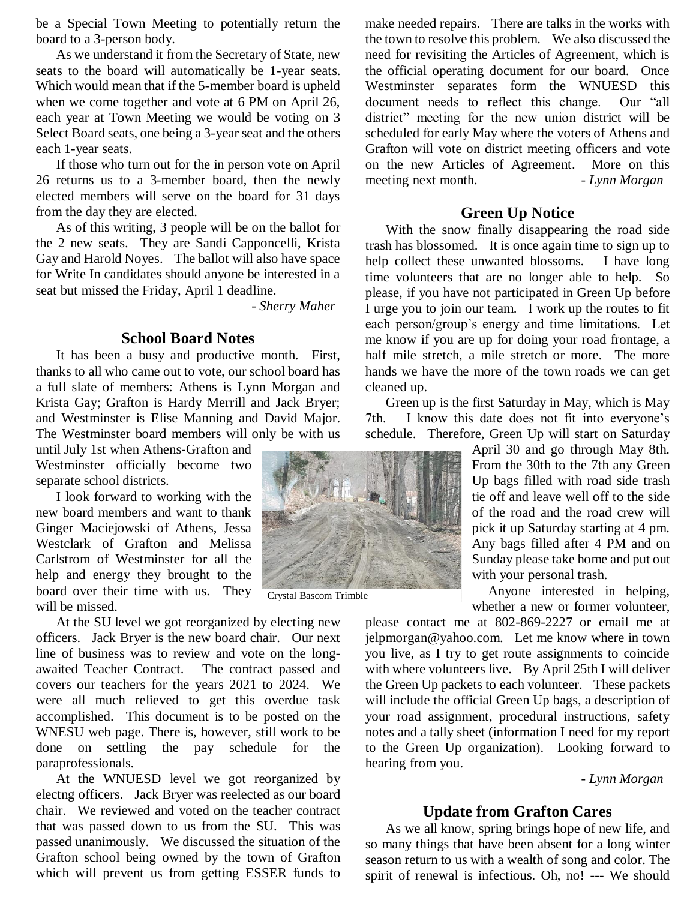be a Special Town Meeting to potentially return the board to a 3-person body.

As we understand it from the Secretary of State, new seats to the board will automatically be 1-year seats. Which would mean that if the 5-member board is upheld when we come together and vote at 6 PM on April 26, each year at Town Meeting we would be voting on 3 Select Board seats, one being a 3-year seat and the others each 1-year seats.

If those who turn out for the in person vote on April 26 returns us to a 3-member board, then the newly elected members will serve on the board for 31 days from the day they are elected.

As of this writing, 3 people will be on the ballot for the 2 new seats. They are Sandi Capponcelli, Krista Gay and Harold Noyes. The ballot will also have space for Write In candidates should anyone be interested in a seat but missed the Friday, April 1 deadline.

- *Sherry Maher*

#### **School Board Notes**

It has been a busy and productive month. First, thanks to all who came out to vote, our school board has a full slate of members: Athens is Lynn Morgan and Krista Gay; Grafton is Hardy Merrill and Jack Bryer; and Westminster is Elise Manning and David Major. The Westminster board members will only be with us

until July 1st when Athens-Grafton and Westminster officially become two separate school districts.

I look forward to working with the new board members and want to thank Ginger Maciejowski of Athens, Jessa Westclark of Grafton and Melissa Carlstrom of Westminster for all the help and energy they brought to the board over their time with us. They will be missed.

At the SU level we got reorganized by electing new officers. Jack Bryer is the new board chair. Our next line of business was to review and vote on the longawaited Teacher Contract. The contract passed and covers our teachers for the years 2021 to 2024. We were all much relieved to get this overdue task accomplished. This document is to be posted on the WNESU web page. There is, however, still work to be done on settling the pay schedule for the paraprofessionals.

At the WNUESD level we got reorganized by electng officers. Jack Bryer was reelected as our board chair. We reviewed and voted on the teacher contract that was passed down to us from the SU. This was passed unanimously. We discussed the situation of the Grafton school being owned by the town of Grafton which will prevent us from getting ESSER funds to



Crystal Bascom Trimble

make needed repairs. There are talks in the works with the town to resolve this problem. We also discussed the need for revisiting the Articles of Agreement, which is the official operating document for our board. Once Westminster separates form the WNUESD this document needs to reflect this change. Our "all district" meeting for the new union district will be scheduled for early May where the voters of Athens and Grafton will vote on district meeting officers and vote on the new Articles of Agreement. More on this meeting next month. - *Lynn Morgan* 

#### **Green Up Notice**

With the snow finally disappearing the road side trash has blossomed. It is once again time to sign up to help collect these unwanted blossoms. I have long time volunteers that are no longer able to help. So please, if you have not participated in Green Up before I urge you to join our team. I work up the routes to fit each person/group's energy and time limitations. Let me know if you are up for doing your road frontage, a half mile stretch, a mile stretch or more. The more hands we have the more of the town roads we can get cleaned up.

Green up is the first Saturday in May, which is May 7th. I know this date does not fit into everyone's schedule. Therefore, Green Up will start on Saturday

> April 30 and go through May 8th. From the 30th to the 7th any Green Up bags filled with road side trash tie off and leave well off to the side of the road and the road crew will pick it up Saturday starting at 4 pm. Any bags filled after 4 PM and on Sunday please take home and put out with your personal trash.

> Anyone interested in helping, whether a new or former volunteer,

please contact me at 802-869-2227 or email me at jelpmorgan@yahoo.com. Let me know where in town you live, as I try to get route assignments to coincide with where volunteers live. By April 25th I will deliver the Green Up packets to each volunteer. These packets will include the official Green Up bags, a description of your road assignment, procedural instructions, safety notes and a tally sheet (information I need for my report to the Green Up organization). Looking forward to hearing from you.

 *- Lynn Morgan*

### **Update from Grafton Cares**

As we all know, spring brings hope of new life, and so many things that have been absent for a long winter season return to us with a wealth of song and color. The spirit of renewal is infectious. Oh, no! --- We should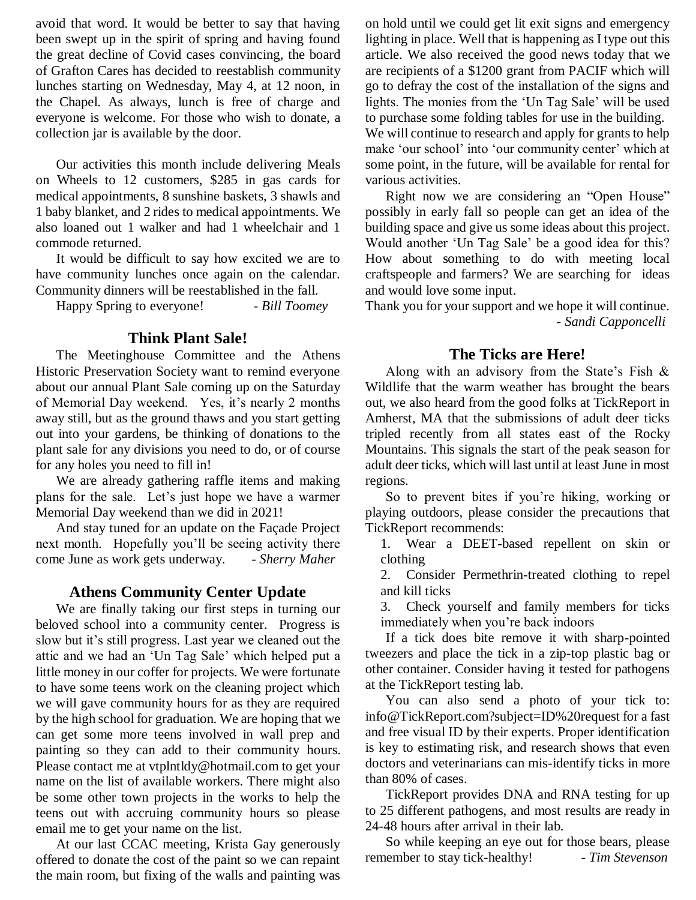avoid that word. It would be better to say that having been swept up in the spirit of spring and having found the great decline of Covid cases convincing, the board of Grafton Cares has decided to reestablish community lunches starting on Wednesday, May 4, at 12 noon, in the Chapel. As always, lunch is free of charge and everyone is welcome. For those who wish to donate, a collection jar is available by the door.

Our activities this month include delivering Meals on Wheels to 12 customers, \$285 in gas cards for medical appointments, 8 sunshine baskets, 3 shawls and 1 baby blanket, and 2 rides to medical appointments. We also loaned out 1 walker and had 1 wheelchair and 1 commode returned.

It would be difficult to say how excited we are to have community lunches once again on the calendar. Community dinners will be reestablished in the fall.

Happy Spring to everyone! - *Bill Toomey*

# **Think Plant Sale!**

The Meetinghouse Committee and the Athens Historic Preservation Society want to remind everyone about our annual Plant Sale coming up on the Saturday of Memorial Day weekend. Yes, it's nearly 2 months away still, but as the ground thaws and you start getting out into your gardens, be thinking of donations to the plant sale for any divisions you need to do, or of course for any holes you need to fill in!

We are already gathering raffle items and making plans for the sale. Let's just hope we have a warmer Memorial Day weekend than we did in 2021!

And stay tuned for an update on the Façade Project next month. Hopefully you'll be seeing activity there come June as work gets underway. - *Sherry Maher*

# **Athens Community Center Update**

We are finally taking our first steps in turning our beloved school into a community center. Progress is slow but it's still progress. Last year we cleaned out the attic and we had an 'Un Tag Sale' which helped put a little money in our coffer for projects. We were fortunate to have some teens work on the cleaning project which we will gave community hours for as they are required by the high school for graduation. We are hoping that we can get some more teens involved in wall prep and painting so they can add to their community hours. Please contact me at vtplntldy@hotmail.com to get your name on the list of available workers. There might also be some other town projects in the works to help the teens out with accruing community hours so please email me to get your name on the list.

At our last CCAC meeting, Krista Gay generously offered to donate the cost of the paint so we can repaint the main room, but fixing of the walls and painting was

on hold until we could get lit exit signs and emergency lighting in place. Well that is happening as I type out this article. We also received the good news today that we are recipients of a \$1200 grant from PACIF which will go to defray the cost of the installation of the signs and lights. The monies from the 'Un Tag Sale' will be used to purchase some folding tables for use in the building. We will continue to research and apply for grants to help make 'our school' into 'our community center' which at some point, in the future, will be available for rental for various activities.

Right now we are considering an "Open House" possibly in early fall so people can get an idea of the building space and give us some ideas about this project. Would another 'Un Tag Sale' be a good idea for this? How about something to do with meeting local craftspeople and farmers? We are searching for ideas and would love some input.

Thank you for your support and we hope it will continue.  *- Sandi Capponcelli*

# **The Ticks are Here!**

Along with an advisory from the State's Fish & Wildlife that the warm weather has brought the bears out, we also heard from the good folks at TickReport in Amherst, MA that the submissions of adult deer ticks tripled recently from all states east of the Rocky Mountains. This signals the start of the peak season for adult deer ticks, which will last until at least June in most regions.

So to prevent bites if you're hiking, working or playing outdoors, please consider the precautions that TickReport recommends:

1. Wear a DEET-based repellent on skin or clothing

2. Consider Permethrin-treated clothing to repel and kill ticks

3. Check yourself and family members for ticks immediately when you're back indoors

If a tick does bite remove it with sharp-pointed tweezers and place the tick in a zip-top plastic bag or other container. Consider having it tested for pathogens at the TickReport testing lab.

You can also send a photo of your tick to: info@TickReport.com?subject=ID%20request for a fast and free visual ID by their experts. Proper identification is key to estimating risk, and research shows that even doctors and veterinarians can mis-identify ticks in more than 80% of cases.

TickReport provides DNA and RNA testing for up to 25 different pathogens, and most results are ready in 24-48 hours after arrival in their lab.

So while keeping an eye out for those bears, please remember to stay tick-healthy! - *Tim Stevenson*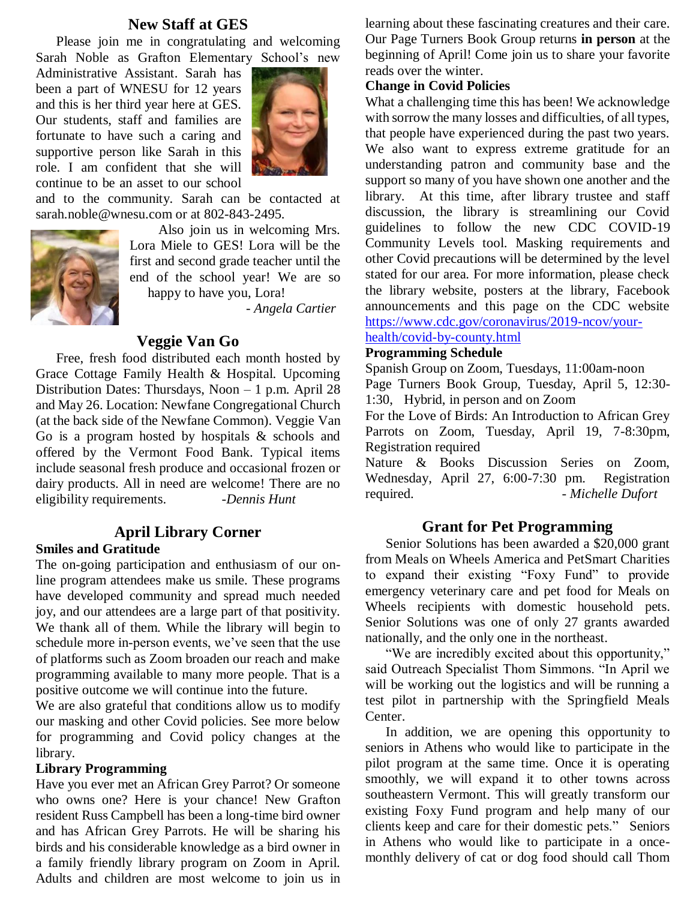#### **New Staff at GES**

Please join me in congratulating and welcoming Sarah Noble as Grafton Elementary School's new

Administrative Assistant. Sarah has been a part of WNESU for 12 years and this is her third year here at GES. Our students, staff and families are fortunate to have such a caring and supportive person like Sarah in this role. I am confident that she will continue to be an asset to our school



and to the community. Sarah can be contacted at sarah.noble@wnesu.com or at 802-843-2495.



Also join us in welcoming Mrs. Lora Miele to GES! Lora will be the first and second grade teacher until the end of the school year! We are so happy to have you, Lora!

- *Angela Cartier*

#### **Veggie Van Go**

Free, fresh food distributed each month hosted by Grace Cottage Family Health & Hospital. Upcoming Distribution Dates: Thursdays, Noon – 1 p.m. April 28 and May 26. Location: Newfane Congregational Church (at the back side of the Newfane Common). Veggie Van Go is a program hosted by hospitals & schools and offered by the Vermont Food Bank. Typical items include seasonal fresh produce and occasional frozen or dairy products. All in need are welcome! There are no eligibility requirements. *-Dennis Hunt*

#### **April Library Corner**

#### **Smiles and Gratitude**

The on-going participation and enthusiasm of our online program attendees make us smile. These programs have developed community and spread much needed joy, and our attendees are a large part of that positivity. We thank all of them. While the library will begin to schedule more in-person events, we've seen that the use of platforms such as Zoom broaden our reach and make programming available to many more people. That is a positive outcome we will continue into the future.

We are also grateful that conditions allow us to modify our masking and other Covid policies. See more below for programming and Covid policy changes at the library.

#### **Library Programming**

Have you ever met an African Grey Parrot? Or someone who owns one? Here is your chance! New Grafton resident Russ Campbell has been a long-time bird owner and has African Grey Parrots. He will be sharing his birds and his considerable knowledge as a bird owner in a family friendly library program on Zoom in April. Adults and children are most welcome to join us in

learning about these fascinating creatures and their care. Our Page Turners Book Group returns **in person** at the beginning of April! Come join us to share your favorite reads over the winter.

#### **Change in Covid Policies**

What a challenging time this has been! We acknowledge with sorrow the many losses and difficulties, of all types, that people have experienced during the past two years. We also want to express extreme gratitude for an understanding patron and community base and the support so many of you have shown one another and the library. At this time, after library trustee and staff discussion, the library is streamlining our Covid guidelines to follow the new CDC COVID-19 Community Levels tool. Masking requirements and other Covid precautions will be determined by the level stated for our area. For more information, please check the library website, posters at the library, Facebook announcements and this page on the CDC website [https://www.cdc.gov/coronavirus/2019-ncov/your-](https://www.cdc.gov/coronavirus/2019-ncov/your-health/covid-by-county.html)

#### [health/covid-by-county.html](https://www.cdc.gov/coronavirus/2019-ncov/your-health/covid-by-county.html)

#### **Programming Schedule**

Spanish Group on Zoom, Tuesdays, 11:00am-noon Page Turners Book Group, Tuesday, April 5, 12:30- 1:30, Hybrid, in person and on Zoom

For the Love of Birds: An Introduction to African Grey Parrots on Zoom, Tuesday, April 19, 7-8:30pm, Registration required

Nature & Books Discussion Series on Zoom, Wednesday, April 27, 6:00-7:30 pm. Registration required. - *Michelle Dufort*

#### **Grant for Pet Programming**

Senior Solutions has been awarded a \$20,000 grant from Meals on Wheels America and PetSmart Charities to expand their existing "Foxy Fund" to provide emergency veterinary care and pet food for Meals on Wheels recipients with domestic household pets. Senior Solutions was one of only 27 grants awarded nationally, and the only one in the northeast.

"We are incredibly excited about this opportunity," said Outreach Specialist Thom Simmons. "In April we will be working out the logistics and will be running a test pilot in partnership with the Springfield Meals Center.

In addition, we are opening this opportunity to seniors in Athens who would like to participate in the pilot program at the same time. Once it is operating smoothly, we will expand it to other towns across southeastern Vermont. This will greatly transform our existing Foxy Fund program and help many of our clients keep and care for their domestic pets." Seniors in Athens who would like to participate in a oncemonthly delivery of cat or dog food should call Thom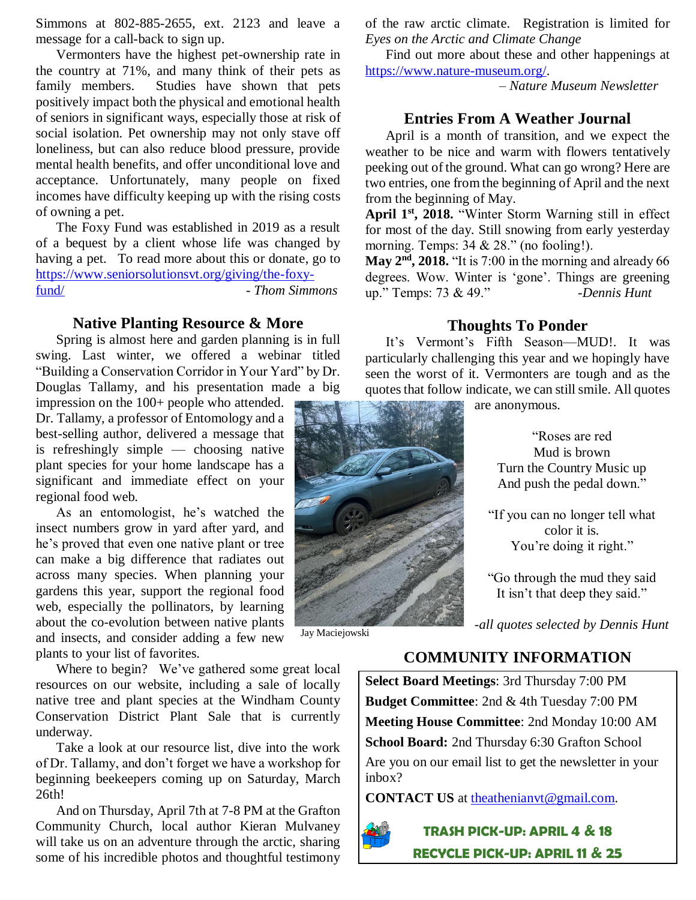Simmons at 802-885-2655, ext. 2123 and leave a message for a call-back to sign up.

Vermonters have the highest pet-ownership rate in the country at 71%, and many think of their pets as family members. Studies have shown that pets positively impact both the physical and emotional health of seniors in significant ways, especially those at risk of social isolation. Pet ownership may not only stave off loneliness, but can also reduce blood pressure, provide mental health benefits, and offer unconditional love and acceptance. Unfortunately, many people on fixed incomes have difficulty keeping up with the rising costs of owning a pet.

The Foxy Fund was established in 2019 as a result of a bequest by a client whose life was changed by having a pet. To read more about this or donate, go to [https://www.seniorsolutionsvt.org/giving/the-foxy](https://www.seniorsolutionsvt.org/giving/the-foxy-fund/)[fund/](https://www.seniorsolutionsvt.org/giving/the-foxy-fund/) - *Thom Simmons*

#### **Native Planting Resource & More**

Spring is almost here and garden planning is in full swing. Last winter, we offered a webinar titled "Building a Conservation Corridor in Your Yard" by Dr. Douglas Tallamy, and his presentation made a big

impression on the 100+ people who attended. Dr. Tallamy, a professor of Entomology and a best-selling author, delivered a message that is refreshingly simple — choosing native plant species for your home landscape has a significant and immediate effect on your regional food web.

As an entomologist, he's watched the insect numbers grow in yard after yard, and he's proved that even one native plant or tree can make a big difference that radiates out across many species. When planning your gardens this year, support the regional food web, especially the pollinators, by learning about the co-evolution between native plants and insects, and consider adding a few new plants to your list of favorites.

Where to begin? We've gathered some great local resources on our website, including a sale of locally native tree and plant species at the Windham County Conservation District Plant Sale that is currently underway.

Take a look at our resource list, dive into the work of Dr. Tallamy, and don't forget we have a workshop for beginning beekeepers coming up on Saturday, March 26th!

And on Thursday, April 7th at 7-8 PM at the Grafton Community Church, local author Kieran Mulvaney will take us on an adventure through the arctic, sharing some of his incredible photos and thoughtful testimony of the raw arctic climate. Registration is limited for *Eyes on the Arctic and Climate Change*

Find out more about these and other happenings at [https://www.nature-museum.org/.](https://www.nature-museum.org/)

– *Nature Museum Newsletter*

#### **Entries From A Weather Journal**

April is a month of transition, and we expect the weather to be nice and warm with flowers tentatively peeking out of the ground. What can go wrong? Here are two entries, one from the beginning of April and the next from the beginning of May.

**April 1st, 2018.** "Winter Storm Warning still in effect for most of the day. Still snowing from early yesterday morning. Temps:  $34 \& 28$ ." (no fooling!).

**May 2nd, 2018.** "It is 7:00 in the morning and already 66 degrees. Wow. Winter is 'gone'. Things are greening up." Temps: 73 & 49." *-Dennis Hunt*

### **Thoughts To Ponder**

It's Vermont's Fifth Season—MUD!. It was particularly challenging this year and we hopingly have seen the worst of it. Vermonters are tough and as the quotes that follow indicate, we can still smile. All quotes

are anonymous.



Jay Maciejowski

"Roses are red Mud is brown Turn the Country Music up

And push the pedal down."

"If you can no longer tell what color it is. You're doing it right."

"Go through the mud they said It isn't that deep they said."

*-all quotes selected by Dennis Hunt*

# **COMMUNITY INFORMATION**

**Select Board Meetings**: 3rd Thursday 7:00 PM **Budget Committee**: 2nd & 4th Tuesday 7:00 PM **Meeting House Committee**: 2nd Monday 10:00 AM **School Board:** 2nd Thursday 6:30 Grafton School Are you on our email list to get the newsletter in your inbox?

**CONTACT US** at the athenian vt @gmail.com.



**TRASH PICK-UP: APRIL 4 & 18 RECYCLE PICK-UP: APRIL 11 & 25**